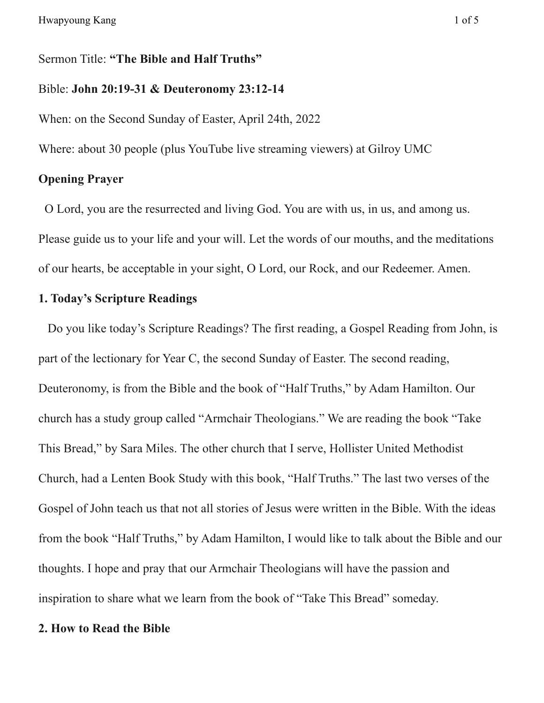Sermon Title: **"The Bible and Half Truths"**

### Bible: **John 20:19-31 & Deuteronomy 23:12-14**

When: on the Second Sunday of Easter, April 24th, 2022

Where: about 30 people (plus YouTube live streaming viewers) at Gilroy UMC

## **Opening Prayer**

O Lord, you are the resurrected and living God. You are with us, in us, and among us. Please guide us to your life and your will. Let the words of our mouths, and the meditations of our hearts, be acceptable in your sight, O Lord, our Rock, and our Redeemer. Amen.

# **1. Today's Scripture Readings**

Do you like today's Scripture Readings? The first reading, a Gospel Reading from John, is part of the lectionary for Year C, the second Sunday of Easter. The second reading, Deuteronomy, is from the Bible and the book of "Half Truths," by Adam Hamilton. Our church has a study group called "Armchair Theologians." We are reading the book "Take This Bread," by Sara Miles. The other church that I serve, Hollister United Methodist Church, had a Lenten Book Study with this book, "Half Truths." The last two verses of the Gospel of John teach us that not all stories of Jesus were written in the Bible. With the ideas from the book "Half Truths," by Adam Hamilton, I would like to talk about the Bible and our thoughts. I hope and pray that our Armchair Theologians will have the passion and inspiration to share what we learn from the book of "Take This Bread" someday.

#### **2. How to Read the Bible**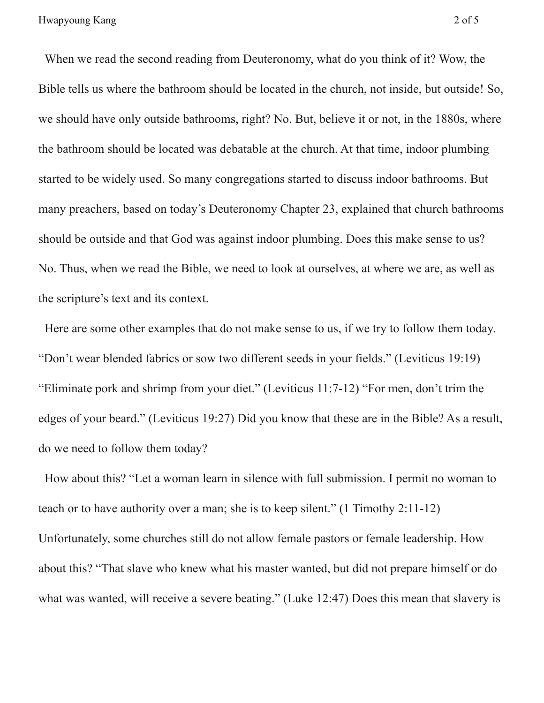When we read the second reading from Deuteronomy, what do you think of it? Wow, the Bible tells us where the bathroom should be located in the church, not inside, but outside! So, we should have only outside bathrooms, right? No. But, believe it or not, in the 1880s, where the bathroom should be located was debatable at the church. At that time, indoor plumbing started to be widely used. So many congregations started to discuss indoor bathrooms. But many preachers, based on today's Deuteronomy Chapter 23, explained that church bathrooms should be outside and that God was against indoor plumbing. Does this make sense to us? No. Thus, when we read the Bible, we need to look at ourselves, at where we are, as well as the scripture's text and its context.

Here are some other examples that do not make sense to us, if we try to follow them today. "Don't wear blended fabrics or sow two different seeds in your fields." (Leviticus 19:19) "Eliminate pork and shrimp from your diet." (Leviticus 11:7-12) "For men, don't trim the edges of your beard." (Leviticus 19:27) Did you know that these are in the Bible? As a result, do we need to follow them today?

How about this? "Let a woman learn in silence with full submission. I permit no woman to teach or to have authority over a man; she is to keep silent." (1 Timothy 2:11-12) Unfortunately, some churches still do not allow female pastors or female leadership. How about this? "That slave who knew what his master wanted, but did not prepare himself or do what was wanted, will receive a severe beating." (Luke 12:47) Does this mean that slavery is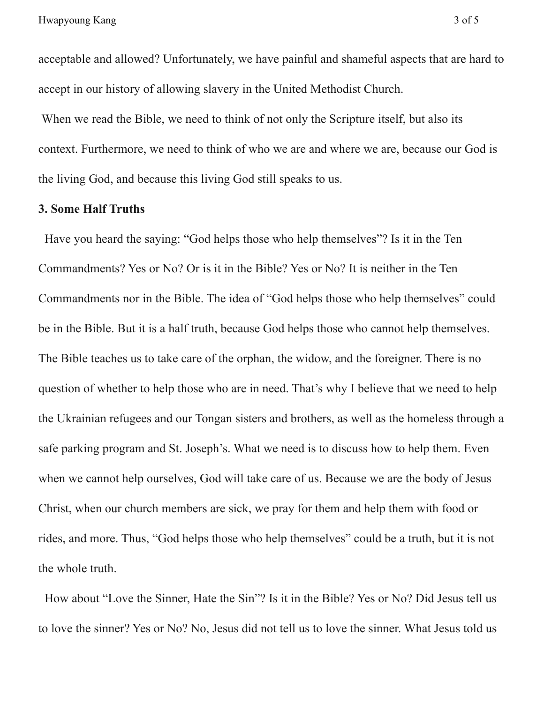acceptable and allowed? Unfortunately, we have painful and shameful aspects that are hard to accept in our history of allowing slavery in the United Methodist Church.

When we read the Bible, we need to think of not only the Scripture itself, but also its context. Furthermore, we need to think of who we are and where we are, because our God is the living God, and because this living God still speaks to us.

## **3. Some Half Truths**

Have you heard the saying: "God helps those who help themselves"? Is it in the Ten Commandments? Yes or No? Or is it in the Bible? Yes or No? It is neither in the Ten Commandments nor in the Bible. The idea of "God helps those who help themselves" could be in the Bible. But it is a half truth, because God helps those who cannot help themselves. The Bible teaches us to take care of the orphan, the widow, and the foreigner. There is no question of whether to help those who are in need. That's why I believe that we need to help the Ukrainian refugees and our Tongan sisters and brothers, as well as the homeless through a safe parking program and St. Joseph's. What we need is to discuss how to help them. Even when we cannot help ourselves, God will take care of us. Because we are the body of Jesus Christ, when our church members are sick, we pray for them and help them with food or rides, and more. Thus, "God helps those who help themselves" could be a truth, but it is not the whole truth.

How about "Love the Sinner, Hate the Sin"? Is it in the Bible? Yes or No? Did Jesus tell us to love the sinner? Yes or No? No, Jesus did not tell us to love the sinner. What Jesus told us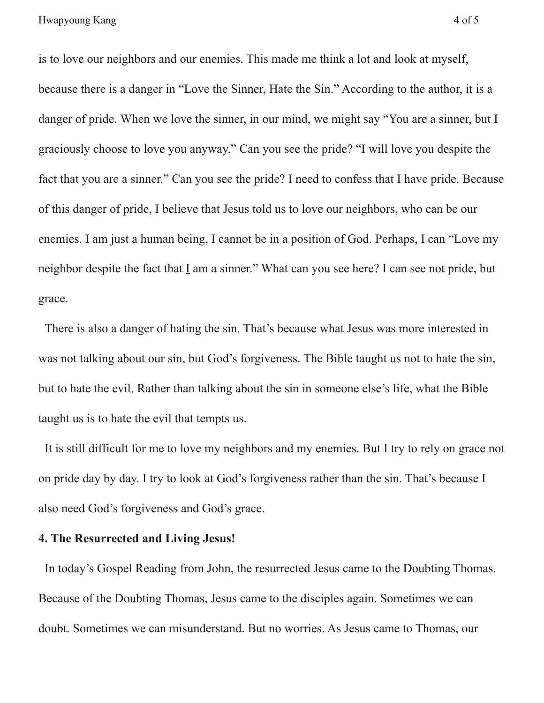is to love our neighbors and our enemies. This made me think a lot and look at myself, because there is a danger in "Love the Sinner, Hate the Sin." According to the author, it is a danger of pride. When we love the sinner, in our mind, we might say "You are a sinner, but I graciously choose to love you anyway." Can you see the pride? "I will love you despite the fact that you are a sinner." Can you see the pride? I need to confess that I have pride. Because of this danger of pride, I believe that Jesus told us to love our neighbors, who can be our enemies. I am just a human being, I cannot be in a position of God. Perhaps, I can "Love my neighbor despite the fact that I am a sinner." What can you see here? I can see not pride, but grace.

There is also a danger of hating the sin. That's because what Jesus was more interested in was not talking about our sin, but God's forgiveness. The Bible taught us not to hate the sin, but to hate the evil. Rather than talking about the sin in someone else's life, what the Bible taught us is to hate the evil that tempts us.

It is still difficult for me to love my neighbors and my enemies. But I try to rely on grace not on pride day by day. I try to look at God's forgiveness rather than the sin. That's because I also need God's forgiveness and God's grace.

## **4. The Resurrected and Living Jesus!**

In today's Gospel Reading from John, the resurrected Jesus came to the Doubting Thomas. Because of the Doubting Thomas, Jesus came to the disciples again. Sometimes we can doubt. Sometimes we can misunderstand. But no worries. As Jesus came to Thomas, our